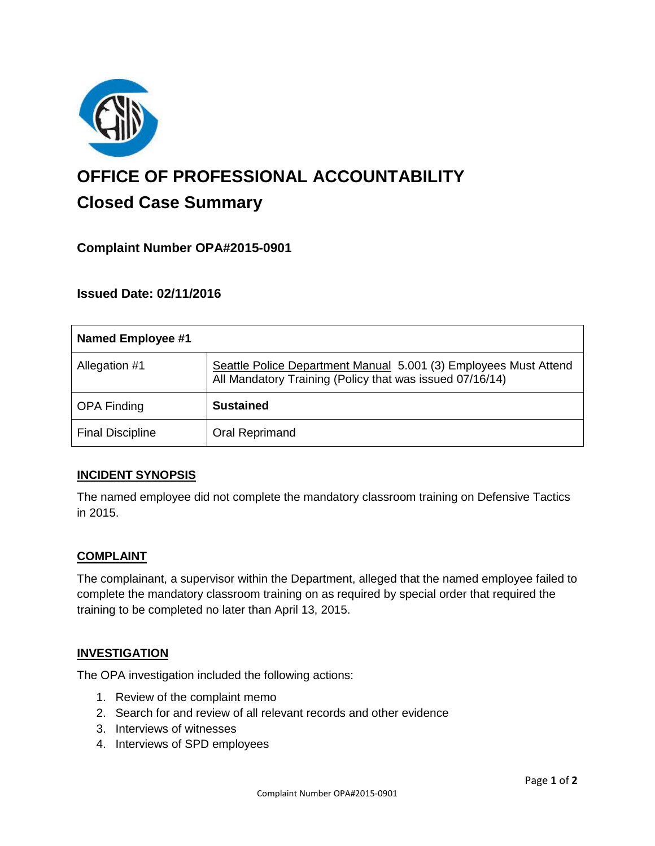

# **OFFICE OF PROFESSIONAL ACCOUNTABILITY Closed Case Summary**

## **Complaint Number OPA#2015-0901**

### **Issued Date: 02/11/2016**

| <b>Named Employee #1</b> |                                                                                                                              |
|--------------------------|------------------------------------------------------------------------------------------------------------------------------|
| Allegation #1            | Seattle Police Department Manual 5.001 (3) Employees Must Attend<br>All Mandatory Training (Policy that was issued 07/16/14) |
| <b>OPA Finding</b>       | <b>Sustained</b>                                                                                                             |
| <b>Final Discipline</b>  | <b>Oral Reprimand</b>                                                                                                        |

#### **INCIDENT SYNOPSIS**

The named employee did not complete the mandatory classroom training on Defensive Tactics in 2015.

#### **COMPLAINT**

The complainant, a supervisor within the Department, alleged that the named employee failed to complete the mandatory classroom training on as required by special order that required the training to be completed no later than April 13, 2015.

#### **INVESTIGATION**

The OPA investigation included the following actions:

- 1. Review of the complaint memo
- 2. Search for and review of all relevant records and other evidence
- 3. Interviews of witnesses
- 4. Interviews of SPD employees